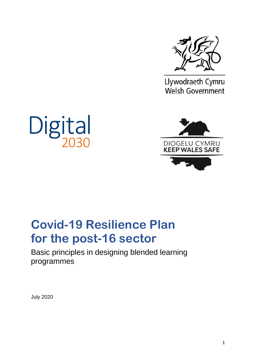

Llywodraeth Cymru Welsh Government





# **Covid-19 Resilience Plan for the post-16 sector**

Basic principles in designing blended learning programmes

July 2020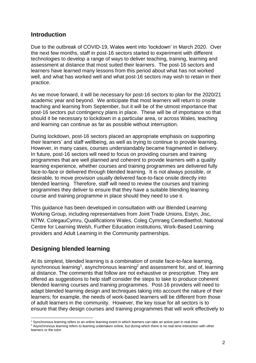# **Introduction**

Due to the outbreak of COVID-19, Wales went into 'lockdown' in March 2020. Over the next few months, staff in post-16 sectors started to experiment with different technologies to develop a range of ways to deliver teaching, training, learning and assessment at distance that most suited their learners. The post-16 sectors and learners have learned many lessons from this period about what has not worked well, and what has worked well and what post-16 sectors may wish to retain in their practice.

As we move forward, it will be necessary for post-16 sectors to plan for the 2020/21 academic year and beyond. We anticipate that most learners will return to onsite teaching and learning from September, but it will be of the utmost importance that post-16 sectors put contingency plans in place. These will be of importance so that should it be necessary to lockdown in a particular area, or across Wales, teaching and learning can continue as far as possible without interruption.

During lockdown, post-16 sectors placed an appropriate emphasis on supporting their learners' and staff wellbeing, as well as trying to continue to provide learning. However, in many cases, courses understandably became fragmented in delivery. In future, post-16 sectors will need to focus on providing courses and training programmes that are well planned and coherent to provide learners with a quality learning experience, whether courses and training programmes are delivered fully face-to-face or delivered through blended learning. It is not always possible, or desirable, to move provision usually delivered face-to-face onsite directly into blended learning. Therefore, staff will need to review the courses and training programmes they deliver to ensure that they have a suitable blending learning course and training programme in place should they need to use it.

This guidance has been developed in consultation with our Blended Learning Working Group, including representatives from Joint Trade Unions, Estyn, Jisc, NTfW, ColegauCymru, Qualifications Wales, Coleg Cymraeg Cenedlaethol, National Centre for Learning Welsh, Further Education institutions, Work-Based Learning providers and Adult Learning in the Community partnerships.

# **Designing blended learning**

At its simplest, blended learning is a combination of onsite face-to-face learning, synchronous learning<sup>1</sup>, asynchronous learning<sup>2</sup> and assessment for, and of, learning at distance. The comments that follow are not exhaustive or prescriptive. They are offered as suggestions to help staff consider the steps to take to produce coherent blended learning courses and training programmes. Post-16 providers will need to adapt blended learning design and techniques taking into account the nature of their learners; for example, the needs of work-based learners will be different from those of adult learners in the community. However, the key issue for all sectors is to ensure that they design courses and training programmes that will work effectively to

<sup>-</sup><sup>1</sup> Synchronous learning refers to an online learning event in which learners can take an active part in real-time.

<sup>&</sup>lt;sup>2</sup> Asynchronous learning refers to learning undertaken online, but during which there is no real-time interaction with other learners or the tutor.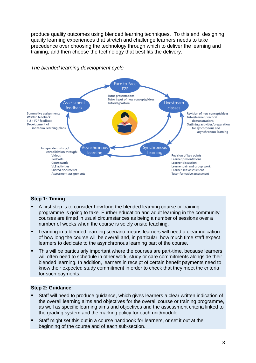produce quality outcomes using blended learning techniques. To this end, designing quality learning experiences that stretch and challenge learners needs to take precedence over choosing the technology through which to deliver the learning and training, and then choose the technology that best fits the delivery.



## *The blended learning development cycle*

#### **Step 1: Timing**

- A first step is to consider how long the blended learning course or training programme is going to take. Further education and adult learning in the community courses are timed in usual circumstances as being a number of sessions over a number of weeks when the course is solely onsite teaching.
- Learning in a blended learning scenario means learners will need a clear indication of how long the course will be overall and, in particular, how much time staff expect learners to dedicate to the asynchronous learning part of the course.
- This will be particularly important where the courses are part-time, because learners will often need to schedule in other work, study or care commitments alongside their blended learning. In addition, learners in receipt of certain benefit payments need to know their expected study commitment in order to check that they meet the criteria for such payments.

#### **Step 2: Guidance**

- Staff will need to produce guidance, which gives learners a clear written indication of the overall learning aims and objectives for the overall course or training programme, as well as specific learning aims and objectives and the assessment criteria linked to the grading system and the marking policy for each unit/module.
- Staff might set this out in a course handbook for learners, or set it out at the beginning of the course and of each sub-section.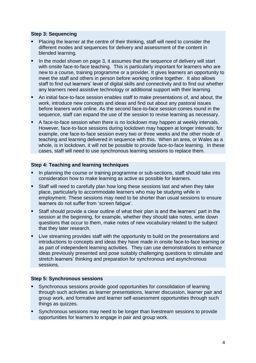#### **Step 3: Sequencing**

- Placing the learner at the centre of their thinking, staff will need to consider the different modes and sequences for delivery and assessment of the content in blended learning.
- In the model shown on page 3, it assumes that the sequence of delivery will start with onsite face-to-face teaching. This is particularly important for learners who are new to a course, training programme or a provider. It gives learners an opportunity to meet the staff and others in person before working online together. It also allows staff to find out learners' level of digital skills and connectivity and to find out whether any learners need assistive technology or additional support with their learning.
- An initial face-to-face session enables staff to make presentations of, and about, the work, introduce new concepts and ideas and find out about any pastoral issues before leaners work online. As the second face-to-face session comes round in the sequence, staff can expand the use of the session to revise learning as necessary.
- A face-to-face session when there is no lockdown may happen at weekly intervals. However, face-to-face sessions during lockdown may happen at longer intervals; for example, one face-to-face session every two or three weeks and the other mode of teaching and learning delivered in sequence with this. When an area, or Wales as a whole, is in lockdown, it will not be possible to provide face-to-face learning. In these cases, staff will need to use synchronous learning sessions to replace them.

#### **Step 4: Teaching and learning techniques**

- In planning the course or training programme or sub-sections, staff should take into consideration how to make learning as active as possible for learners.
- Staff will need to carefully plan how long these sessions last and when they take place, particularly to accommodate learners who may be studying while in employment. These sessions may need to be shorter than usual sessions to ensure learners do not suffer from 'screen fatigue'.
- Staff should provide a clear outline of what their plan is and the learners' part in the session at the beginning, for example, whether they should take notes, write down questions that occur to them, make notes of new vocabulary related to the subject that they later research.
- Live streaming provides staff with the opportunity to build on the presentations and introductions to concepts and ideas they have made in onsite face-to-face learning or as part of independent learning activities. They can use demonstrations to enhance ideas previously presented and pose suitably challenging questions to stimulate and stretch learners' thinking and preparation for synchronous and asynchronous sessions.

#### **Step 5: Synchronous sessions**

- Synchronous sessions provide good opportunities for consolidation of learning through such activities as learner presentations, learner discussion, learner pair and group work, and formative and learner self-assessment opportunities through such things as quizzes.
- Synchronous sessions may need to be longer than livestream sessions to provide opportunities for learners to engage in pair and group work.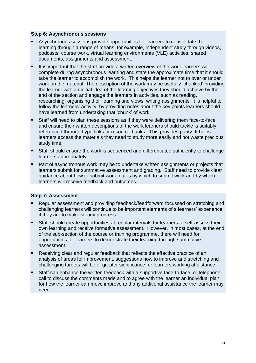#### **Step 6: Asynchronous sessions**

- Asynchronous sessions provide opportunities for learners to consolidate their learning through a range of means; for example, independent study through videos, podcasts, course work, virtual learning environments (VLE) activities, shared documents, assignments and assessment.
- It is important that the staff provide a written overview of the work learners will complete during asynchronous learning and state the approximate time that it should take the learner to accomplish the work. This helps the learner not to over or under work on the material. The description of the work may be usefully 'chunked' providing the learner with an initial idea of the learning objectives they should achieve by the end of the section and engage the learners in activities, such as reading, researching, organising their learning and views, writing assignments. It is helpful to follow the learners' activity by providing notes about the key points learners should have learned from undertaking that 'chunk' of work.
- Staff will need to plan these sessions as if they were delivering them face-to-face and ensure their written descriptions of the work learners should tackle is suitably referenced through hyperlinks or resource banks. This provides parity. It helps learners access the materials they need to study more easily and not waste precious study time.
- Staff should ensure the work is sequenced and differentiated sufficiently to challenge learners appropriately.
- Part of asynchronous work may be to undertake written assignments or projects that learners submit for summative assessment and grading. Staff need to provide clear guidance about how to submit work, dates by which to submit work and by which learners will receive feedback and outcomes.

# **Step 7: Assessment**

- Regular assessment and providing feedback/feedforward focussed on stretching and challenging learners will continue to be important elements of a learners' experience if they are to make steady progress.
- Staff should create opportunities at regular intervals for learners to self-assess their own learning and receive formative assessment. However, in most cases, at the end of the sub-section of the course or training programme, there will need for opportunities for learners to demonstrate their learning through summative assessment.
- Receiving clear and regular feedback that reflects the effective practice of an analysis of areas for improvement, suggestions how to improve and stretching and challenging targets will be of greater significance for learners working at distance.
- Staff can enhance the written feedback with a supportive face-to-face, or telephone, call to discuss the comments made and to agree with the learner an individual plan for how the learner can move improve and any additional assistance the learner may need.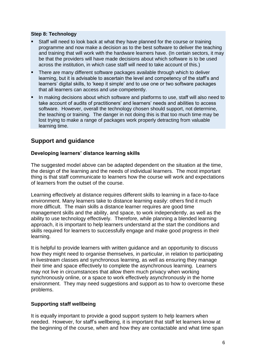# **Step 8: Technology**

- Staff will need to look back at what they have planned for the course or training programme and now make a decision as to the best software to deliver the teaching and training that will work with the hardware learners have. (In certain sectors, it may be that the providers will have made decisions about which software is to be used across the institution, in which case staff will need to take account of this.)
- There are many different software packages available through which to deliver learning, but it is advisable to ascertain the level and competency of the staff's and learners' digital skills, to 'keep it simple' and to use one or two software packages that all learners can access and use competently.
- In making decisions about which software and platforms to use, staff will also need to take account of audits of practitioners' and learners' needs and abilities to access software. However, overall the technology chosen should support, not determine, the teaching or training. The danger in not doing this is that too much time may be lost trying to make a range of packages work properly detracting from valuable learning time.

# **Support and guidance**

# **Developing learners' distance learning skills**

The suggested model above can be adapted dependent on the situation at the time, the design of the learning and the needs of individual learners. The most important thing is that staff communicate to learners how the course will work and expectations of learners from the outset of the course.

Learning effectively at distance requires different skills to learning in a face-to-face environment. Many learners take to distance learning easily: others find it much more difficult. The main skills a distance learner requires are good time management skills and the ability, and space, to work independently, as well as the ability to use technology effectively. Therefore, while planning a blended learning approach, it is important to help learners understand at the start the conditions and skills required for learners to successfully engage and make good progress in their learning.

It is helpful to provide learners with written guidance and an opportunity to discuss how they might need to organise themselves, in particular, in relation to participating in livestream classes and synchronous learning, as well as ensuring they manage their time and space effectively to complete the asynchronous learning. Learners may not live in circumstances that allow them much privacy when working synchronously online, or a space to work effectively asynchronously in the home environment. They may need suggestions and support as to how to overcome these problems.

# **Supporting staff wellbeing**

It is equally important to provide a good support system to help learners when needed. However, for staff's wellbeing, it is important that staff let learners know at the beginning of the course, when and how they are contactable and what time span